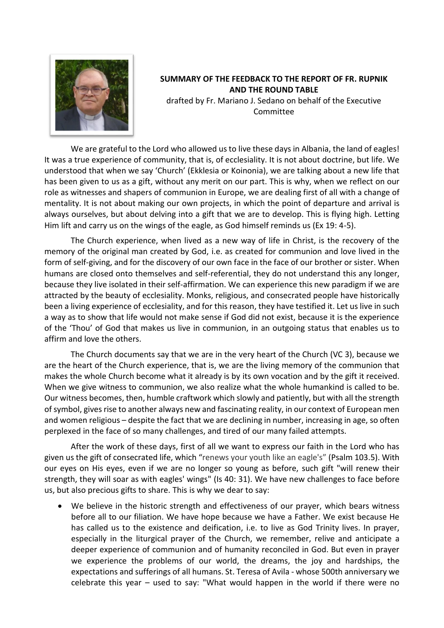

## **SUMMARY OF THE FEEDBACK TO THE REPORT OF FR. RUPNIK AND THE ROUND TABLE**

drafted by Fr. Mariano J. Sedano on behalf of the Executive Committee

We are grateful to the Lord who allowed us to live these days in Albania, the land of eagles! It was a true experience of community, that is, of ecclesiality. It is not about doctrine, but life. We understood that when we say 'Church' (Ekklesia or Koinonia), we are talking about a new life that has been given to us as a gift, without any merit on our part. This is why, when we reflect on our role as witnesses and shapers of communion in Europe, we are dealing first of all with a change of mentality. It is not about making our own projects, in which the point of departure and arrival is always ourselves, but about delving into a gift that we are to develop. This is flying high. Letting Him lift and carry us on the wings of the eagle, as God himself reminds us (Ex 19: 4-5).

The Church experience, when lived as a new way of life in Christ, is the recovery of the memory of the original man created by God, i.e. as created for communion and love lived in the form of self-giving, and for the discovery of our own face in the face of our brother or sister. When humans are closed onto themselves and self-referential, they do not understand this any longer, because they live isolated in their self-affirmation. We can experience this new paradigm if we are attracted by the beauty of ecclesiality. Monks, religious, and consecrated people have historically been a living experience of ecclesiality, and for this reason, they have testified it. Let us live in such a way as to show that life would not make sense if God did not exist, because it is the experience of the 'Thou' of God that makes us live in communion, in an outgoing status that enables us to affirm and love the others.

The Church documents say that we are in the very heart of the Church (VC 3), because we are the heart of the Church experience, that is, we are the living memory of the communion that makes the whole Church become what it already is by its own vocation and by the gift it received. When we give witness to communion, we also realize what the whole humankind is called to be. Our witness becomes, then, humble craftwork which slowly and patiently, but with all the strength of symbol, gives rise to another always new and fascinating reality, in our context of European men and women religious – despite the fact that we are declining in number, increasing in age, so often perplexed in the face of so many challenges, and tired of our many failed attempts.

After the work of these days, first of all we want to express our faith in the Lord who has given us the gift of consecrated life, which "renews your youth like an eagle's" (Psalm 103.5). With our eyes on His eyes, even if we are no longer so young as before, such gift "will renew their strength, they will soar as with eagles' wings" (Is 40: 31). We have new challenges to face before us, but also precious gifts to share. This is why we dear to say:

We believe in the historic strength and effectiveness of our prayer, which bears witness before all to our filiation. We have hope because we have a Father. We exist because He has called us to the existence and deification, i.e. to live as God Trinity lives. In prayer, especially in the liturgical prayer of the Church, we remember, relive and anticipate a deeper experience of communion and of humanity reconciled in God. But even in prayer we experience the problems of our world, the dreams, the joy and hardships, the expectations and sufferings of all humans. St. Teresa of Avila - whose 500th anniversary we celebrate this year – used to say: "What would happen in the world if there were no